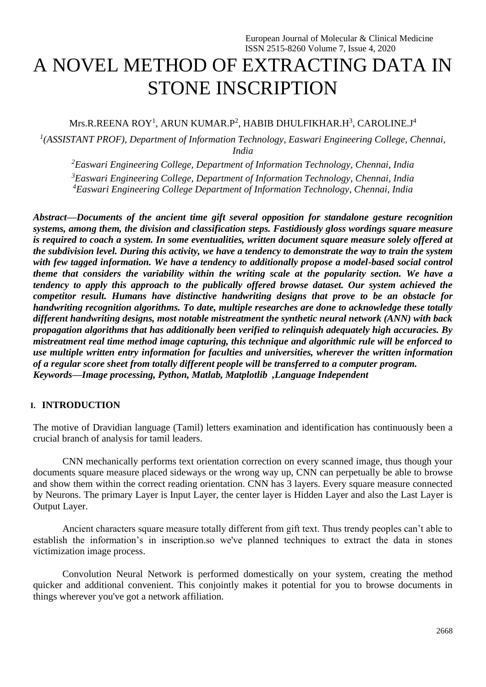# A NOVEL METHOD OF EXTRACTING DATA IN STONE INSCRIPTION

### Mrs.R.REENA ROY<sup>1</sup>, ARUN KUMAR.P<sup>2</sup>, HABIB DHULFIKHAR.H $^3$ , CAROLINE.J $^4$

*1 (ASSISTANT PROF), Department of Information Technology, Easwari Engineering College, Chennai, India*

*<sup>2</sup>Easwari Engineering College, Department of Information Technology, Chennai, India <sup>3</sup>Easwari Engineering College, Department of Information Technology, Chennai, India <sup>4</sup>Easwari Engineering College Department of Information Technology, Chennai, India*

*Abstract—Documents of the ancient time gift several opposition for standalone gesture recognition systems, among them, the division and classification steps. Fastidiously gloss wordings square measure is required to coach a system. In some eventualities, written document square measure solely offered at the subdivision level. During this activity, we have a tendency to demonstrate the way to train the system with few tagged information. We have a tendency to additionally propose a model-based social control theme that considers the variability within the writing scale at the popularity section. We have a tendency to apply this approach to the publically offered browse dataset. Our system achieved the competitor result. Humans have distinctive handwriting designs that prove to be an obstacle for handwriting recognition algorithms. To date, multiple researches are done to acknowledge these totally different handwriting designs, most notable mistreatment the synthetic neural network (ANN) with back propagation algorithms that has additionally been verified to relinquish adequately high accuracies. By mistreatment real time method image capturing, this technique and algorithmic rule will be enforced to use multiple written entry information for faculties and universities, wherever the written information of a regular score sheet from totally different people will be transferred to a computer program. Keywords—Image processing, Python, Matlab, Matplotlib ,Language Independent*

#### **I. INTRODUCTION**

The motive of Dravidian language (Tamil) letters examination and identification has continuously been a crucial branch of analysis for tamil leaders.

CNN mechanically performs text orientation correction on every scanned image, thus though your documents square measure placed sideways or the wrong way up, CNN can perpetually be able to browse and show them within the correct reading orientation. CNN has 3 layers. Every square measure connected by Neurons. The primary Layer is Input Layer, the center layer is Hidden Layer and also the Last Layer is Output Layer.

Ancient characters square measure totally different from gift text. Thus trendy peoples can't able to establish the information's in inscription.so we've planned techniques to extract the data in stones victimization image process.

Convolution Neural Network is performed domestically on your system, creating the method quicker and additional convenient. This conjointly makes it potential for you to browse documents in things wherever you've got a network affiliation.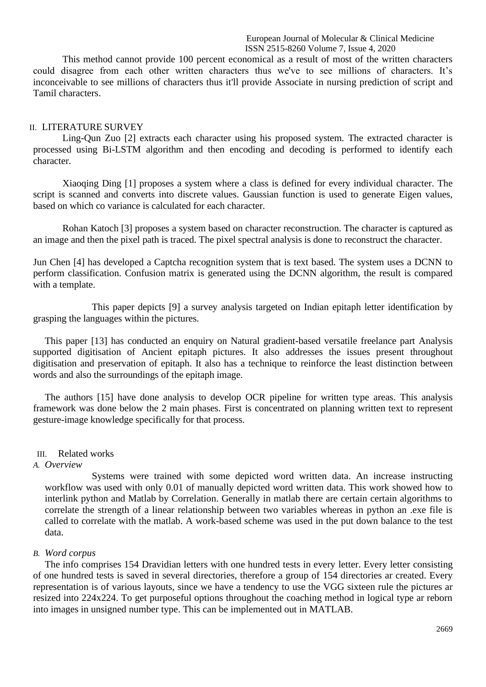This method cannot provide 100 percent economical as a result of most of the written characters could disagree from each other written characters thus we've to see millions of characters. It's inconceivable to see millions of characters thus it'll provide Associate in nursing prediction of script and Tamil characters.

#### II. LITERATURE SURVEY

Ling-Qun Zuo [2] extracts each character using his proposed system. The extracted character is processed using Bi-LSTM algorithm and then encoding and decoding is performed to identify each character.

Xiaoqing Ding [1] proposes a system where a class is defined for every individual character. The script is scanned and converts into discrete values. Gaussian function is used to generate Eigen values, based on which co variance is calculated for each character.

Rohan Katoch [3] proposes a system based on character reconstruction. The character is captured as an image and then the pixel path is traced. The pixel spectral analysis is done to reconstruct the character.

Jun Chen [4] has developed a Captcha recognition system that is text based. The system uses a DCNN to perform classification. Confusion matrix is generated using the DCNN algorithm, the result is compared with a template.

This paper depicts [9] a survey analysis targeted on Indian epitaph letter identification by grasping the languages within the pictures.

This paper [13] has conducted an enquiry on Natural gradient-based versatile freelance part Analysis supported digitisation of Ancient epitaph pictures. It also addresses the issues present throughout digitisation and preservation of epitaph. It also has a technique to reinforce the least distinction between words and also the surroundings of the epitaph image.

The authors [15] have done analysis to develop OCR pipeline for written type areas. This analysis framework was done below the 2 main phases. First is concentrated on planning written text to represent gesture-image knowledge specifically for that process.

#### III. Related works

#### *A. Overview*

Systems were trained with some depicted word written data. An increase instructing workflow was used with only 0.01 of manually depicted word written data. This work showed how to interlink python and Matlab by Correlation. Generally in matlab there are certain certain algorithms to correlate the strength of a linear relationship between two variables whereas in python an .exe file is called to correlate with the matlab. A work-based scheme was used in the put down balance to the test data.

#### *B. Word corpus*

The info comprises 154 Dravidian letters with one hundred tests in every letter. Every letter consisting of one hundred tests is saved in several directories, therefore a group of 154 directories ar created. Every representation is of various layouts, since we have a tendency to use the VGG sixteen rule the pictures ar resized into 224x224. To get purposeful options throughout the coaching method in logical type ar reborn into images in unsigned number type. This can be implemented out in MATLAB.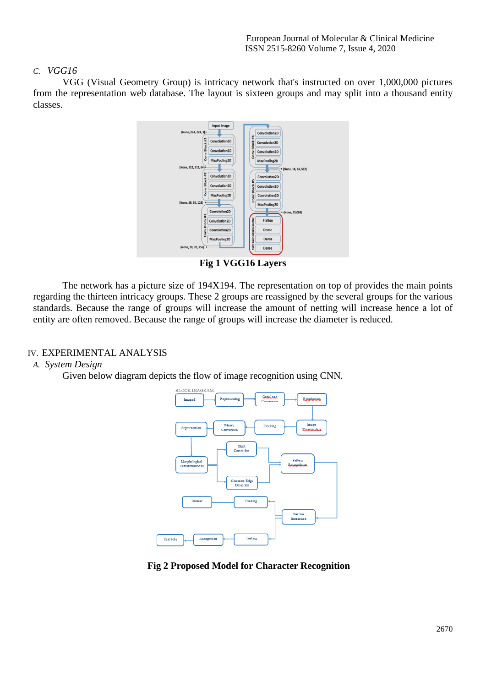#### *C. VGG16*

VGG (Visual Geometry Group) is intricacy network that's instructed on over 1,000,000 pictures from the representation web database. The layout is sixteen groups and may split into a thousand entity classes.



**Fig 1 VGG16 Layers**

The network has a picture size of 194X194. The representation on top of provides the main points regarding the thirteen intricacy groups. These 2 groups are reassigned by the several groups for the various standards. Because the range of groups will increase the amount of netting will increase hence a lot of entity are often removed. Because the range of groups will increase the diameter is reduced.

#### IV. EXPERIMENTAL ANALYSIS

#### *A. System Design*

Given below diagram depicts the flow of image recognition using CNN.



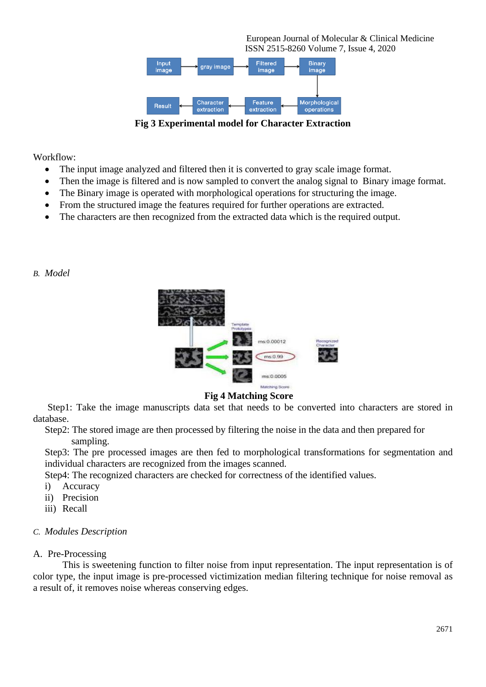

**Fig 3 Experimental model for Character Extraction**

Workflow:

- The input image analyzed and filtered then it is converted to gray scale image format.
- Then the image is filtered and is now sampled to convert the analog signal to Binary image format.
- The Binary image is operated with morphological operations for structuring the image.
- From the structured image the features required for further operations are extracted.
- The characters are then recognized from the extracted data which is the required output.

*B. Model*



#### **Fig 4 Matching Score**

 Step1: Take the image manuscripts data set that needs to be converted into characters are stored in database.

Step2: The stored image are then processed by filtering the noise in the data and then prepared for sampling.

Step3: The pre processed images are then fed to morphological transformations for segmentation and individual characters are recognized from the images scanned.

Step4: The recognized characters are checked for correctness of the identified values.

- i) Accuracy
- ii) Precision
- iii) Recall

#### *C. Modules Description*

#### A. Pre-Processing

This is sweetening function to filter noise from input representation. The input representation is of color type, the input image is pre-processed victimization median filtering technique for noise removal as a result of, it removes noise whereas conserving edges.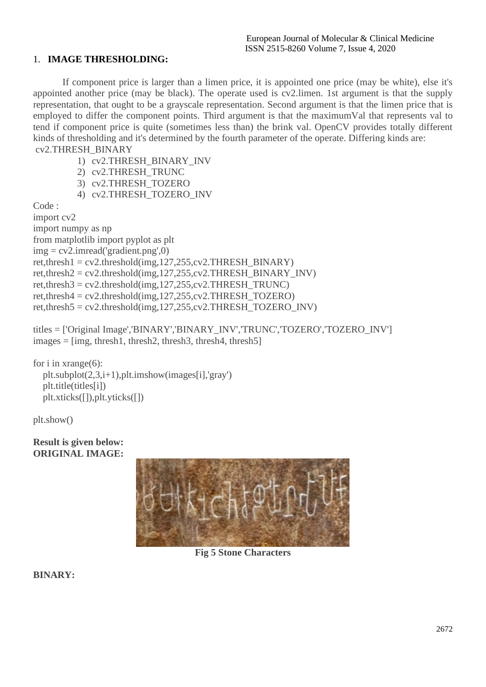### 1. **IMAGE THRESHOLDING:**

If component price is larger than a limen price, it is appointed one price (may be white), else it's appointed another price (may be black). The operate used is cv2.limen. 1st argument is that the supply representation, that ought to be a grayscale representation. Second argument is that the limen price that is employed to differ the component points. Third argument is that the maximumVal that represents val to tend if component price is quite (sometimes less than) the brink val. OpenCV provides totally different kinds of thresholding and it's determined by the fourth parameter of the operate. Differing kinds are: cv2.THRESH\_BINARY

- 1) cv2.THRESH\_BINARY\_INV
- 2) cv2.THRESH\_TRUNC
- 3) cv2.THRESH\_TOZERO
- 4) cv2.THRESH\_TOZERO\_INV

Code :

import cv2 import numpy as np from matplotlib import pyplot as plt  $img = cv2.imread('gradient.png', 0)$ ret,thresh1 = cv2.threshold(img,127,255,cv2.THRESH\_BINARY) ret,thresh $2 = cv2$ ,threshold(img, 127, 255, cv2. THRESH\_BINARY\_INV) ret,thresh $3 = cv2$ ,threshold(img, 127, 255, cv2. THRESH\_TRUNC) ret,thresh $4 = cv2$ ,threshold(img, 127, 255, cv2. THRESH\_TOZERO) ret,thresh5 = cv2.threshold(img,127,255,cv2.THRESH\_TOZERO\_INV)

titles = ['Original Image','BINARY','BINARY\_INV','TRUNC','TOZERO','TOZERO\_INV']  $images = [img, thresh1, thresh2, thresh3, thresh4, thresh5]$ 

for i in xrange(6): plt.subplot(2,3,i+1),plt.imshow(images[i],'gray') plt.title(titles[i]) plt.xticks([]),plt.yticks([])

plt.show()

**Result is given below: ORIGINAL IMAGE:**



**Fig 5 Stone Characters**

**BINARY:**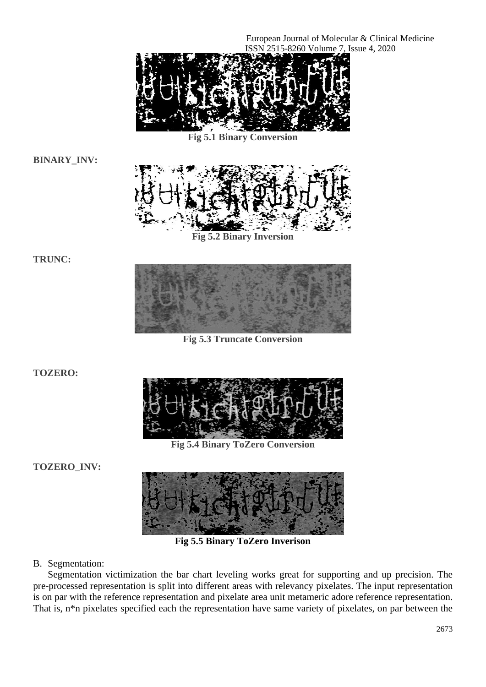

**Fig 5.1 Binary Conversion**

**BINARY\_INV:**



**Fig 5.2 Binary Inversion**

**TRUNC:**



**Fig 5.3 Truncate Conversion**

**TOZERO:**



**Fig 5.4 Binary ToZero Conversion**

**TOZERO\_INV:**



**Fig 5.5 Binary ToZero Inverison**

B. Segmentation:

Segmentation victimization the bar chart leveling works great for supporting and up precision. The pre-processed representation is split into different areas with relevancy pixelates. The input representation is on par with the reference representation and pixelate area unit metameric adore reference representation. That is, n\*n pixelates specified each the representation have same variety of pixelates, on par between the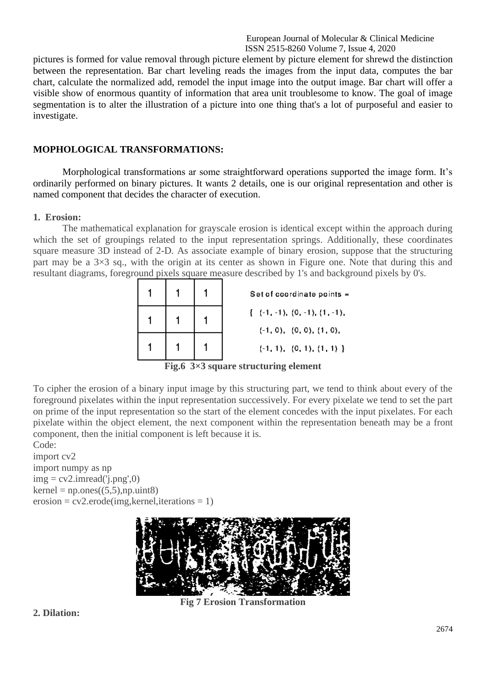pictures is formed for value removal through picture element by picture element for shrewd the distinction between the representation. Bar chart leveling reads the images from the input data, computes the bar chart, calculate the normalized add, remodel the input image into the output image. Bar chart will offer a visible show of enormous quantity of information that area unit troublesome to know. The goal of image segmentation is to alter the illustration of a picture into one thing that's a lot of purposeful and easier to investigate.

#### **MOPHOLOGICAL TRANSFORMATIONS:**

Morphological transformations ar some straightforward operations supported the image form. It's ordinarily performed on binary pictures. It wants 2 details, one is our original representation and other is named component that decides the character of execution.

#### **1. Erosion:**

The mathematical explanation for grayscale erosion is identical except within the approach during which the set of groupings related to the input representation springs. Additionally, these coordinates square measure 3D instead of 2-D. As associate example of binary erosion, suppose that the structuring part may be a 3×3 sq., with the origin at its center as shown in Figure one. Note that during this and resultant diagrams, foreground pixels square measure described by 1's and background pixels by 0's.

|  |  | Set of coordinate points =                                           |
|--|--|----------------------------------------------------------------------|
|  |  | $\{-(-1,-1), (0,-1), (1,-1),\}$<br>$(-1, 0)$ , $(0, 0)$ , $(1, 0)$ , |
|  |  | $(-1, 1), (0, 1), (1, 1)$                                            |
|  |  |                                                                      |

**Fig.6 3×3 square structuring element**

To cipher the erosion of a binary input image by this structuring part, we tend to think about every of the foreground pixelates within the input representation successively. For every pixelate we tend to set the part on prime of the input representation so the start of the element concedes with the input pixelates. For each pixelate within the object element, the next component within the representation beneath may be a front component, then the initial component is left because it is.

Code:

import cv2 import numpy as np  $img = cv2.inread('i.png', 0)$  $k$ ernel = np.ones $((5,5),$ np.uint $8)$  $erosion = cv2.erode(img, kernel, iterations = 1)$ 



**Fig 7 Erosion Transformation**

#### **2. Dilation:**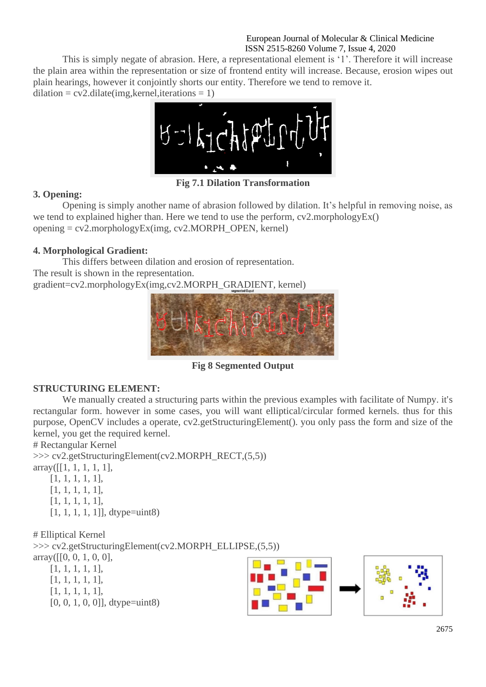This is simply negate of abrasion. Here, a representational element is '1'. Therefore it will increase the plain area within the representation or size of frontend entity will increase. Because, erosion wipes out plain hearings, however it conjointly shorts our entity. Therefore we tend to remove it.  $dilation = cv2$ .  $dilate(img, kernel, iterations = 1)$ 



**Fig 7.1 Dilation Transformation**

### **3. Opening:**

Opening is simply another name of abrasion followed by dilation. It's helpful in removing noise, as we tend to explained higher than. Here we tend to use the perform, cv2.morphologyEx()  $opening = cv2.morphologyEx (img, cv2.MORPHOPEN, kernel)$ 

### **4. Morphological Gradient:**

This differs between dilation and erosion of representation. The result is shown in the representation. gradient=cv2.morphologyEx(img,cv2.MORPH\_GRADIENT, kernel)



**Fig 8 Segmented Output**

### **STRUCTURING ELEMENT:**

We manually created a structuring parts within the previous examples with facilitate of Numpy. it's rectangular form. however in some cases, you will want elliptical/circular formed kernels. thus for this purpose, OpenCV includes a operate, cv2.getStructuringElement(). you only pass the form and size of the kernel, you get the required kernel.

# Rectangular Kernel

>>> cv2.getStructuringElement(cv2.MORPH\_RECT,(5,5))  $array([1, 1, 1, 1, 1, 1],$ 

[1, 1, 1, 1, 1],

- [1, 1, 1, 1, 1],
- [1, 1, 1, 1, 1],
- $[1, 1, 1, 1, 1]$ ], dtype=uint8)

# Elliptical Kernel >>> cv2.getStructuringElement(cv2.MORPH\_ELLIPSE,(5,5))  $array([0, 0, 1, 0, 0],$ 

- [1, 1, 1, 1, 1], [1, 1, 1, 1, 1],
- [1, 1, 1, 1, 1],
- 
- $[0, 0, 1, 0, 0]$ , dtype=uint8)

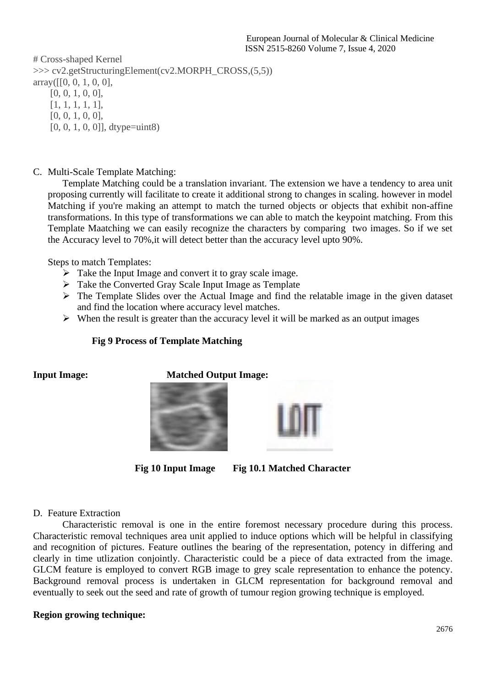# Cross-shaped Kernel >>> cv2.getStructuringElement(cv2.MORPH\_CROSS,(5,5)) array([[0, 0, 1, 0, 0], [0, 0, 1, 0, 0], [1, 1, 1, 1, 1], [0, 0, 1, 0, 0], [0, 0, 1, 0, 0]], dtype=uint8)

C. Multi-Scale Template Matching:

Template Matching could be a translation invariant. The extension we have a tendency to area unit proposing currently will facilitate to create it additional strong to changes in scaling. however in model Matching if you're making an attempt to match the turned objects or objects that exhibit non-affine transformations. In this type of transformations we can able to match the keypoint matching. From this Template Maatching we can easily recognize the characters by comparing two images. So if we set the Accuracy level to 70%,it will detect better than the accuracy level upto 90%.

Steps to match Templates:

- $\triangleright$  Take the Input Image and convert it to gray scale image.
- ➢ Take the Converted Gray Scale Input Image as Template
- ➢ The Template Slides over the Actual Image and find the relatable image in the given dataset and find the location where accuracy level matches.
- $\triangleright$  When the result is greater than the accuracy level it will be marked as an output images

#### **Fig 9 Process of Template Matching**

#### **Input Image:** Matched Output Image:





**Fig 10 Input Image Fig 10.1 Matched Character**

#### D. Feature Extraction

Characteristic removal is one in the entire foremost necessary procedure during this process. Characteristic removal techniques area unit applied to induce options which will be helpful in classifying and recognition of pictures. Feature outlines the bearing of the representation, potency in differing and clearly in time utlization conjointly. Characteristic could be a piece of data extracted from the image. GLCM feature is employed to convert RGB image to grey scale representation to enhance the potency. Background removal process is undertaken in GLCM representation for background removal and eventually to seek out the seed and rate of growth of tumour region growing technique is employed.

### **Region growing technique:**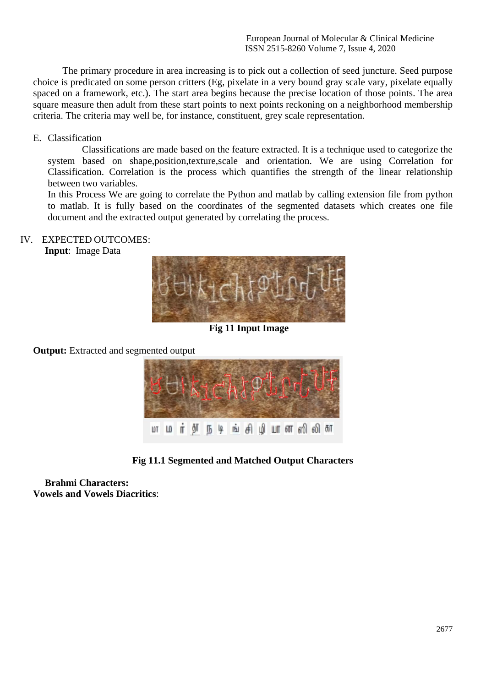The primary procedure in area increasing is to pick out a collection of seed juncture. Seed purpose choice is predicated on some person critters (Eg, pixelate in a very bound gray scale vary, pixelate equally spaced on a framework, etc.). The start area begins because the precise location of those points. The area square measure then adult from these start points to next points reckoning on a neighborhood membership criteria. The criteria may well be, for instance, constituent, grey scale representation.

#### E. Classification

 Classifications are made based on the feature extracted. It is a technique used to categorize the system based on shape,position,texture,scale and orientation. We are using Correlation for Classification. Correlation is the process which quantifies the strength of the linear relationship between two variables.

In this Process We are going to correlate the Python and matlab by calling extension file from python to matlab. It is fully based on the coordinates of the segmented datasets which creates one file document and the extracted output generated by correlating the process.

#### IV. EXPECTED OUTCOMES:

**Input**: Image Data



**Fig 11 Input Image**

**Output:** Extracted and segmented output



**Fig 11.1 Segmented and Matched Output Characters**

**Brahmi Characters: Vowels and Vowels Diacritics**: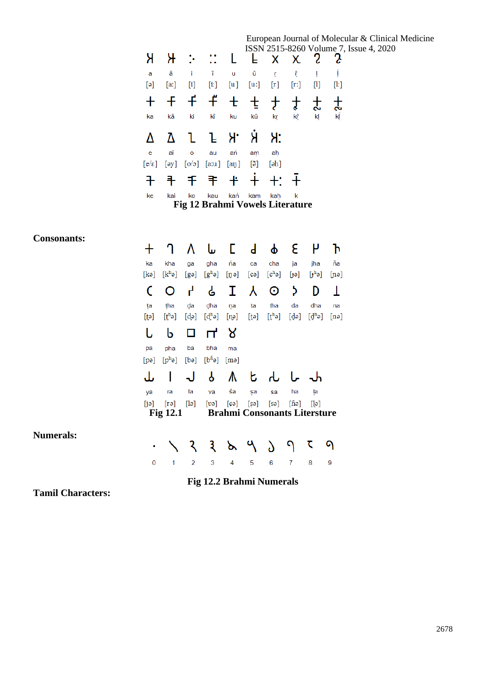## European Journal of Molecular & Clinical Medicine

|                               |                            |         |                                        |            |             |                   |                  |         |                                       | ISSN 2515-8260 Volume 7, Issue 4, 2020 |  |
|-------------------------------|----------------------------|---------|----------------------------------------|------------|-------------|-------------------|------------------|---------|---------------------------------------|----------------------------------------|--|
| Я                             | ж                          |         | ∷ L                                    |            | EXX 2       |                   |                  |         | $\mathbf{S}$                          |                                        |  |
| a                             | ā                          | ÷       | T                                      | u          | ū           | ŗ.                | ŗ                |         | Ţ                                     |                                        |  |
| $[\circ]$                     | [a!]                       | $[$     | $[$                                    | [u]        | [u]         | $[\mathbf{r}]$    | $[\mathbf{r}$    |         | $[! \mathrm{!} \mathrm{!} \mathrm{]}$ |                                        |  |
| ka                            | kā                         | ki      | $+$ $+$ $+$ $+$ $+$<br>kī              | ku         | 士<br>kū     | $\pm$<br>kŗ       | $\ddagger$<br>kř | 士<br>kļ | ť<br>kĪ                               |                                        |  |
|                               |                            |         | ŀ                                      | Я.         | Я           | Я:                |                  |         |                                       |                                        |  |
| e                             | ai                         | $\circ$ | au                                     | ań         | am          | aḥ                |                  |         |                                       |                                        |  |
| $\lceil e/\varepsilon \rceil$ | $\lceil \partial y \rceil$ | [00]    | $[a:\mathfrak{u}]$                     | $[$ aŋ $]$ | [ð]         | [ <sub>eh</sub> ] |                  |         |                                       |                                        |  |
|                               | 丰                          | 千年      |                                        | $+$        | $\ddotplus$ |                   |                  |         |                                       |                                        |  |
| ke                            | kai                        | ko      | kau<br>Fig 12 Brahmi Vowels Literature | kań        | kam         | kah               | k                |         |                                       |                                        |  |
|                               |                            |         |                                        |            |             |                   |                  |         |                                       |                                        |  |

#### **Consonants:**

| Consonants.      | ╋                 | ገ                  | Λ         | سا                                  | E                | $\mathsf{d}$      | φ                  | ε               | ٣         | Ъ                    |
|------------------|-------------------|--------------------|-----------|-------------------------------------|------------------|-------------------|--------------------|-----------------|-----------|----------------------|
|                  | ka                | kha                | ga        | gha                                 | ńa               | ca                | cha                | ja              | jha       | ña                   |
|                  | [kə]              | $[k^h$ ə]          | $[g$ ə]   | $[g^h$ ə]                           | $[\mathfrak{g}]$ | [ca]              | [c <sup>h</sup> θ] | [ət]            | $[j^h$ ə] | $[{\mathfrak{n}}$ ə] |
|                  |                   | O                  | P,        | ሬ                                   | I.               | Υ                 | $\odot$            | <sup>&gt;</sup> | D         | Τ                    |
|                  | ţa                | tha                | da        | dha                                 | ņa               | ta                | tha                | da              | dha       | na                   |
|                  | [t <sub>e</sub> ] | $[th$ ə]           | $[d$ ə]   | $[d^h$ ə]                           | [n]              | [t]               | $[th$ ə]           | [qə]            | $[d^h$ ə] | $[n\Theta]$          |
|                  | U                 | b                  | 0         | $\mathsf{H}$                        | ୍ୱ୪              |                   |                    |                 |           |                      |
|                  | pa                | pha                | ba        | bha                                 | ma               |                   |                    |                 |           |                      |
|                  | [pə]              | $[p^h$ ə]          | [ba]      | $[bh$ ə]                            | [me]             |                   |                    |                 |           |                      |
|                  | ىل                |                    | J         | P                                   | ⋀                | b                 |                    | ሁ -             |           |                      |
|                  | ya                | ra                 | la        | va                                  | śa               | şa                | sa                 | ha              | ļa        |                      |
|                  | [i]               | $[r\ddot{\theta}]$ | $[\cdot]$ | $[\mathfrak{v}$ ə]                  | $[$ ¢ə $]$       | [s <sub>9</sub> ] | [sə]               | $[$ fiə $]$     | [9]       |                      |
|                  |                   | <b>Fig 12.1</b>    |           | <b>Brahmi Consonants Litersture</b> |                  |                   |                    |                 |           |                      |
| <b>Numerals:</b> |                   |                    |           |                                     |                  |                   |                    |                 |           |                      |
|                  | ٠                 |                    | २         | $\mathcal{R}$                       | ৯                | ٩                 | $\delta$           | ٩               | ζ         | ۹                    |
|                  | 0                 | 1                  | 2         | 3                                   | 4                | 5                 | 6                  | 7               | 8         | 9                    |

**Fig 12.2 Brahmi Numerals**

**Tamil Characters:**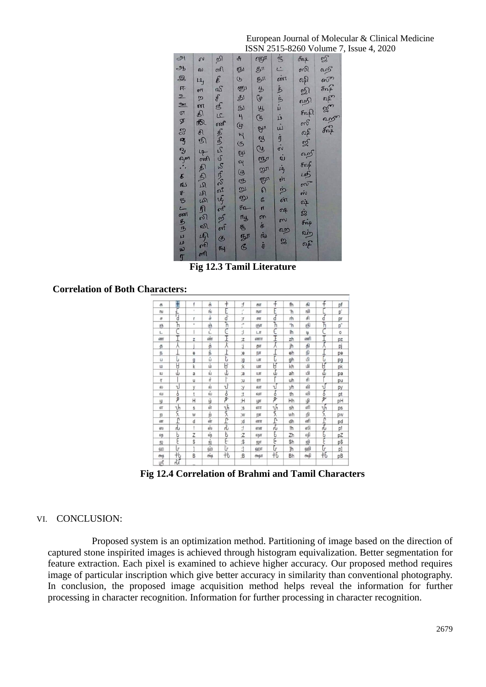|                                                                                                      |                                           | து                                                                                                                                                                                                                                                       |                       |                                                                           | $\delta n$                                       | 3333333333 |
|------------------------------------------------------------------------------------------------------|-------------------------------------------|----------------------------------------------------------------------------------------------------------------------------------------------------------------------------------------------------------------------------------------------------------|-----------------------|---------------------------------------------------------------------------|--------------------------------------------------|------------|
|                                                                                                      |                                           |                                                                                                                                                                                                                                                          |                       |                                                                           |                                                  |            |
|                                                                                                      |                                           |                                                                                                                                                                                                                                                          |                       |                                                                           |                                                  |            |
|                                                                                                      |                                           |                                                                                                                                                                                                                                                          |                       |                                                                           |                                                  |            |
|                                                                                                      |                                           |                                                                                                                                                                                                                                                          |                       |                                                                           |                                                  |            |
|                                                                                                      |                                           |                                                                                                                                                                                                                                                          |                       |                                                                           |                                                  |            |
|                                                                                                      |                                           |                                                                                                                                                                                                                                                          |                       |                                                                           |                                                  |            |
|                                                                                                      |                                           |                                                                                                                                                                                                                                                          |                       |                                                                           |                                                  |            |
|                                                                                                      |                                           |                                                                                                                                                                                                                                                          |                       |                                                                           |                                                  |            |
|                                                                                                      |                                           |                                                                                                                                                                                                                                                          |                       |                                                                           |                                                  |            |
|                                                                                                      |                                           |                                                                                                                                                                                                                                                          |                       |                                                                           |                                                  |            |
|                                                                                                      |                                           |                                                                                                                                                                                                                                                          |                       |                                                                           |                                                  |            |
|                                                                                                      |                                           |                                                                                                                                                                                                                                                          |                       |                                                                           |                                                  |            |
|                                                                                                      |                                           |                                                                                                                                                                                                                                                          |                       |                                                                           |                                                  |            |
|                                                                                                      |                                           |                                                                                                                                                                                                                                                          |                       |                                                                           |                                                  |            |
|                                                                                                      |                                           |                                                                                                                                                                                                                                                          |                       |                                                                           |                                                  |            |
|                                                                                                      |                                           |                                                                                                                                                                                                                                                          |                       |                                                                           |                                                  |            |
|                                                                                                      |                                           |                                                                                                                                                                                                                                                          |                       |                                                                           |                                                  |            |
|                                                                                                      |                                           |                                                                                                                                                                                                                                                          |                       |                                                                           |                                                  |            |
|                                                                                                      |                                           | $\mathbb{E}\nolimits$ $\mathfrak{S}$ $\mathfrak{I}, \mathfrak{I}, \mathfrak{I}, \mathfrak{S}_1$ $\mathfrak{S}_2$ $\mathfrak{S}_1$ $\mathfrak{S}_1$ $\mathfrak{S}_1$ $\mathfrak{S}_2$ $\mathfrak{S}_3$ $\mathfrak{S}_1$ $\mathfrak{S}_2$ $\mathfrak{S}_3$ | 安敦 医动物 医红色外伤 计同步的 机副子 | මේ බියා පිය නිජ හි විවි බිබි ගය සියා සියා<br>මේ බියා පිය නිජ හි විවි විවි | )<br>1975 동 198 부 3 동 198 동 198 동 198 동 198 동 39 |            |
|                                                                                                      |                                           |                                                                                                                                                                                                                                                          |                       |                                                                           |                                                  |            |
| กัญ นับคลองสูง เจริง เจริง เจริง เจริง เจริง เจริง เจริง เจริง เจริง เจริง เจริง เจริง เจริง เจริง เ | த்தித்தி திருந்திருக்கு திறத்தில் திடம் உ |                                                                                                                                                                                                                                                          |                       |                                                                           |                                                  |            |

 European Journal of Molecular & Clinical Medicine ISSN 2515-8260 Volume 7, Issue 4, 2020

**Fig 12.3 Tamil Literature**

**Correlation of Both Characters:**

| 历              | Ŧ                        | f              | க்                       | $\ddagger$               | f          | கா             | f                   | fh        | கி   | ÷                     | pf                         |
|----------------|--------------------------|----------------|--------------------------|--------------------------|------------|----------------|---------------------|-----------|------|-----------------------|----------------------------|
| Tb1            |                          | ×              | ங்                       | ı.                       | $\cdot$    | <b>IBJIT</b>   | Ē                   | 'n        | ஙி   |                       | p'                         |
| $\sigma$       | d                        | r              | $\bullet$<br>ä           | d                        | T.         | $\sigma$       | d                   | rh        | की   | d                     | pr                         |
| (6)            | h                        | $\overline{a}$ | Ġ,                       | ĥ                        | $\cdot$    | $(65\Pi)$      | ĥ                   | "h        | கி   | ĥ                     | $\underline{\mathsf{p}}''$ |
| L              |                          |                | $\overline{\phantom{a}}$ | ×<br>¥                   | $\cdot$    | LIT            | $\epsilon$          | lh        | lg.  |                       | $\circ$                    |
| 600T           |                          | Z              | $\dot{\rm o}$            | Ī                        | $\ddot{z}$ | $600$ TIT      | Ι                   | zh        | ணி   |                       | pz                         |
| த              |                          |                | த்                       | Y.                       | đ          | தா             | ۸                   | jh        | தி   |                       | pj                         |
| $\sqrt{6}$     |                          | $\theta$       | Ġ,                       | ŀ                        | e;         | ιБΙ            |                     | eh        | நி   |                       | pe                         |
| u              | U                        | g              | ů                        | ŀ                        | ʻ.g        | LIT            | U                   | gh        | பி   | U                     | pg                         |
| LD             | H                        | $\mathsf k$    | $\dot{u}$                | H                        | $:$ k      | LDIT           | Ü                   | kh        | மி   | Ü                     | pk                         |
| Ш              | ŵ                        | a              | ŵ                        | J                        | ;a         | ILIT           | J                   | ah        | யி   | Ŵ                     | pa                         |
| П              |                          | u              | ń                        | ь                        | IJ;        | $\Pi$          |                     | uh        | ती   |                       | pu                         |
| 60             | ι                        | V              | ல்                       | ď                        | :          | 60ff           | υ                   | yh        | லி   | U                     | py                         |
| வ              | ò                        | t              | வ்                       | $\overline{b}$           | $\ddot{.}$ | வா             | $\overline{\delta}$ | th        | வி   | 7                     | pt                         |
| $\mathfrak{g}$ | $\overline{\mathcal{P}}$ | Н              | $\dot{\psi}$             | $\overline{\mathcal{P}}$ | :Н         | LOTT           | $\overline{P}$      | Hh        | ழி   | $\mathbf{P}^{\prime}$ | pH                         |
| 6T             | υ'n                      | S              | ள்                       | υ'n                      | $\ddot{s}$ | 61T            | υ'n                 | sh        | eff  | υ'n                   | ps                         |
| $\mathbf{m}$   | Ŕ                        | W              | $\dot{0}$                | ६                        | W.         | mm             | $\overline{\xi}$    | wh        | றி   | दू                    | pw                         |
| 60             | Ţ                        | d              | ள்                       | ή.                       | b:         | $60$ TIT       | Ŀ                   | dh        | ளி   | Ţ                     | pd                         |
| ஸ              | rU                       | ı              | ຄົນ                      | Ηů                       | $\cdot$    | ஸா             | ۳U                  | !h        | ஸி   | rU                    | p!                         |
| 629            | b                        | Ζ              | 68                       | b                        | :Z         | 62.IT          | Б                   | Zh        | ஷி   | Ë                     | pZ                         |
| 毁              | ٤                        | Ŝ              | ٠<br>贸                   | ξ.                       | $\ddot{s}$ | ஜா             | Ę                   | \$h       | ஜி   | ξ                     | p\$                        |
| ஹ              | b                        | ٠              | ٠<br>ஹ                   | ŀ                        | $\ddot{.}$ | ஹா             | $\mathsf{U}^\circ$  | <b>lh</b> | ஹி   | ø<br>Ú                | p]                         |
| <b>Fog</b>     | 卝                        | B              | $\dot{\sigma \alpha}$    | 书                        | :B         | <b>Fragill</b> | $+6$                | Bh        | கூடு | ŦБ                    | pB                         |
| μf             | 心                        |                |                          |                          |            |                |                     |           |      |                       |                            |

 **Fig 12.4 Correlation of Brahmi and Tamil Characters**

#### VI. CONCLUSION:

Proposed system is an optimization method. Partitioning of image based on the direction of captured stone inspirited images is achieved through histogram equivalization. Better segmentation for feature extraction. Each pixel is examined to achieve higher accuracy. Our proposed method requires image of particular inscription which give better accuracy in similarity than conventional photography. In conclusion, the proposed image acquisition method helps reveal the information for further processing in character recognition. Information for further processing in character recognition.